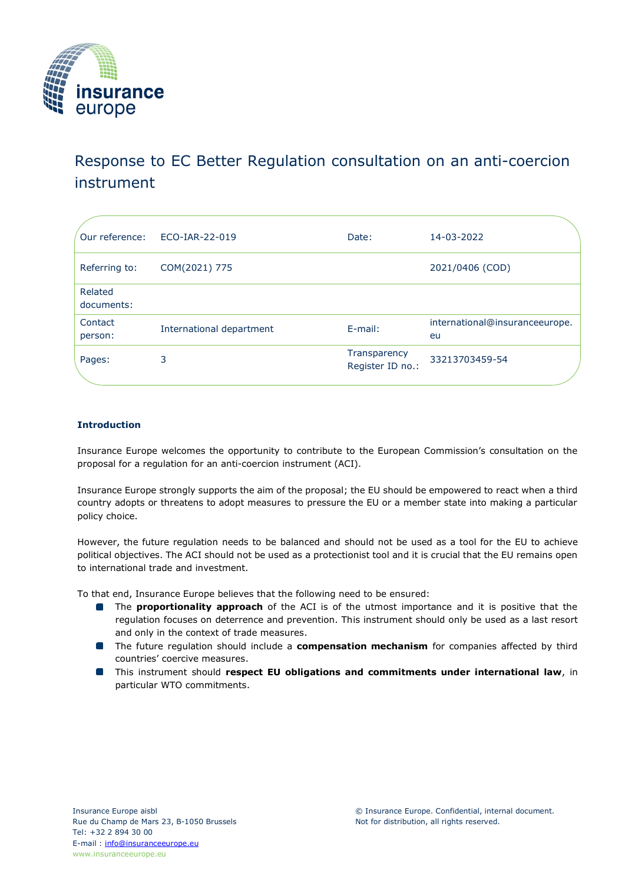

# Response to EC Better Regulation consultation on an anti-coercion instrument

| Our reference:        | ECO-IAR-22-019           | Date:                            | 14-03-2022                           |
|-----------------------|--------------------------|----------------------------------|--------------------------------------|
| Referring to:         | COM(2021) 775            |                                  | 2021/0406 (COD)                      |
| Related<br>documents: |                          |                                  |                                      |
| Contact<br>person:    | International department | $E$ -mail:                       | international@insuranceeurope.<br>eu |
| Pages:                | 3                        | Transparency<br>Register ID no.: | 33213703459-54                       |

## **Introduction**

Insurance Europe welcomes the opportunity to contribute to the European Commission's consultation on the proposal for a regulation for an anti-coercion instrument (ACI).

Insurance Europe strongly supports the aim of the proposal; the EU should be empowered to react when a third country adopts or threatens to adopt measures to pressure the EU or a member state into making a particular policy choice.

However, the future regulation needs to be balanced and should not be used as a tool for the EU to achieve political objectives. The ACI should not be used as a protectionist tool and it is crucial that the EU remains open to international trade and investment.

To that end, Insurance Europe believes that the following need to be ensured:

- **The proportionality approach** of the ACI is of the utmost importance and it is positive that the regulation focuses on deterrence and prevention. This instrument should only be used as a last resort and only in the context of trade measures.
- **The future regulation should include a compensation mechanism** for companies affected by third countries' coercive measures.
- This instrument should **respect EU obligations and commitments under international law**, in particular WTO commitments.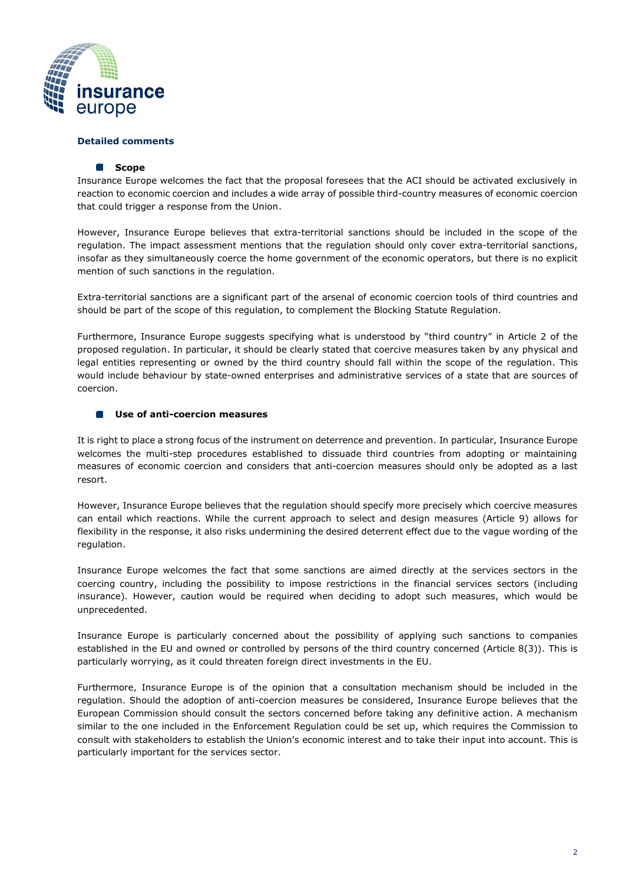

### **Detailed comments**

#### **B** Scope

Insurance Europe welcomes the fact that the proposal foresees that the ACI should be activated exclusively in reaction to economic coercion and includes a wide array of possible third-country measures of economic coercion that could trigger a response from the Union.

However, Insurance Europe believes that extra-territorial sanctions should be included in the scope of the regulation. The impact assessment mentions that the regulation should only cover extra-territorial sanctions, insofar as they simultaneously coerce the home government of the economic operators, but there is no explicit mention of such sanctions in the regulation.

Extra-territorial sanctions are a significant part of the arsenal of economic coercion tools of third countries and should be part of the scope of this regulation, to complement the Blocking Statute Regulation.

Furthermore, Insurance Europe suggests specifying what is understood by "third country" in Article 2 of the proposed regulation. In particular, it should be clearly stated that coercive measures taken by any physical and legal entities representing or owned by the third country should fall within the scope of the regulation. This would include behaviour by state-owned enterprises and administrative services of a state that are sources of coercion.

#### **Use of anti-coercion measures**

It is right to place a strong focus of the instrument on deterrence and prevention. In particular, Insurance Europe welcomes the multi-step procedures established to dissuade third countries from adopting or maintaining measures of economic coercion and considers that anti-coercion measures should only be adopted as a last resort.

However, Insurance Europe believes that the regulation should specify more precisely which coercive measures can entail which reactions. While the current approach to select and design measures (Article 9) allows for flexibility in the response, it also risks undermining the desired deterrent effect due to the vague wording of the regulation.

Insurance Europe welcomes the fact that some sanctions are aimed directly at the services sectors in the coercing country, including the possibility to impose restrictions in the financial services sectors (including insurance). However, caution would be required when deciding to adopt such measures, which would be unprecedented.

Insurance Europe is particularly concerned about the possibility of applying such sanctions to companies established in the EU and owned or controlled by persons of the third country concerned (Article 8(3)). This is particularly worrying, as it could threaten foreign direct investments in the EU.

Furthermore, Insurance Europe is of the opinion that a consultation mechanism should be included in the regulation. Should the adoption of anti-coercion measures be considered, Insurance Europe believes that the European Commission should consult the sectors concerned before taking any definitive action. A mechanism similar to the one included in the Enforcement Regulation could be set up, which requires the Commission to consult with stakeholders to establish the Union's economic interest and to take their input into account. This is particularly important for the services sector.